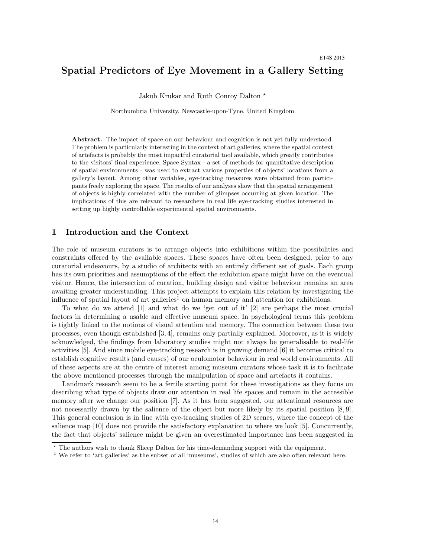# Spatial Predictors of Eye Movement in a Gallery Setting

Jakub Krukar and Ruth Conroy Dalton ?

Northumbria University, Newcastle-upon-Tyne, United Kingdom

Abstract. The impact of space on our behaviour and cognition is not yet fully understood. The problem is particularly interesting in the context of art galleries, where the spatial context of artefacts is probably the most impactful curatorial tool available, which greatly contributes to the visitors' final experience. Space Syntax - a set of methods for quantitative description of spatial environments - was used to extract various properties of objects' locations from a gallery's layout. Among other variables, eye-tracking measures were obtained from participants freely exploring the space. The results of our analyses show that the spatial arrangement of objects is highly correlated with the number of glimpses occurring at given location. The implications of this are relevant to researchers in real life eye-tracking studies interested in setting up highly controllable experimental spatial environments.

## 1 Introduction and the Context

The role of museum curators is to arrange objects into exhibitions within the possibilities and constraints offered by the available spaces. These spaces have often been designed, prior to any curatorial endeavours, by a studio of architects with an entirely different set of goals. Each group has its own priorities and assumptions of the effect the exhibition space might have on the eventual visitor. Hence, the intersection of curation, building design and visitor behaviour remains an area awaiting greater understanding. This project attempts to explain this relation by investigating the influence of spatial layout of art galleries<sup>1</sup> on human memory and attention for exhibitions.

To what do we attend [1] and what do we 'get out of it' [2] are perhaps the most crucial factors in determining a usable and effective museum space. In psychological terms this problem is tightly linked to the notions of visual attention and memory. The connection between these two processes, even though established [3, 4], remains only partially explained. Moreover, as it is widely acknowledged, the findings from laboratory studies might not always be generalisable to real-life activities [5]. And since mobile eye-tracking research is in growing demand [6] it becomes critical to establish cognitive results (and causes) of our oculomotor behaviour in real world environments. All of these aspects are at the centre of interest among museum curators whose task it is to facilitate the above mentioned processes through the manipulation of space and artefacts it contains.

Landmark research seem to be a fertile starting point for these investigations as they focus on describing what type of objects draw our attention in real life spaces and remain in the accessible memory after we change our position [7]. As it has been suggested, our attentional resources are not necessarily drawn by the salience of the object but more likely by its spatial position [8,9]. This general conclusion is in line with eye-tracking studies of 2D scenes, where the concept of the salience map [10] does not provide the satisfactory explanation to where we look [5]. Concurrently, the fact that objects' salience might be given an overestimated importance has been suggested in

<sup>?</sup> The authors wish to thank Sheep Dalton for his time-demanding support with the equipment.

<sup>&</sup>lt;sup>1</sup> We refer to 'art galleries' as the subset of all 'museums', studies of which are also often relevant here.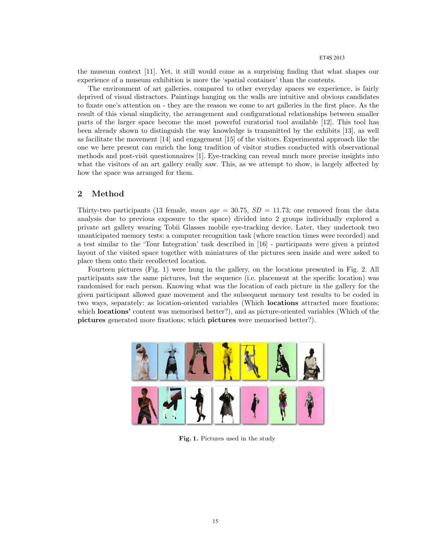the museum context [11]. Yet, it still would come as a surprising finding that what shapes our experience of a museum exhibition is more the 'spatial container' than the contents.

The environment of art galleries, compared to other everyday spaces we experience, is fairly deprived of visual distractors. Paintings hanging on the walls are intuitive and obvious candidates to fixate one's attention on - they are the reason we come to art galleries in the first place. As the result of this visual simplicity, the arrangement and configurational relationships between smaller parts of the larger space become the most powerful curatorial tool available [12]. This tool has been already shown to distinguish the way knowledge is transmitted by the exhibits [13], as well as facilitate the movement [14] and engagement [15] of the visitors. Experimental approach like the one we here present can enrich the long tradition of visitor studies conducted with observational methods and post-visit questionnaires [1]. Eye-tracking can reveal much more precise insights into what the visitors of an art gallery really saw. This, as we attempt to show, is largely affected by how the space was arranged for them.

# 2 Method

Thirty-two participants (13 female, mean age = 30.75,  $SD = 11.73$ ; one removed from the data analysis due to previous exposure to the space) divided into 2 groups individually explored a private art gallery wearing Tobii Glasses mobile eye-tracking device. Later, they undertook two unanticipated memory tests: a computer recognition task (where reaction times were recorded) and a test similar to the 'Tour Integration' task described in [16] - participants were given a printed layout of the visited space together with miniatures of the pictures seen inside and were asked to place them onto their recollected location.

Fourteen pictures (Fig. 1) were hung in the gallery, on the locations presented in Fig. 2. All participants saw the same pictures, but the sequence (i.e. placement at the specific location) was randomised for each person. Knowing what was the location of each picture in the gallery for the given participant allowed gaze movement and the subsequent memory test results to be coded in two ways, separately: as location-oriented variables (Which locations attracted more fixations; which **locations**' content was memorised better?), and as picture-oriented variables (Which of the pictures generated more fixations; which pictures were memorised better?).



Fig. 1. Pictures used in the study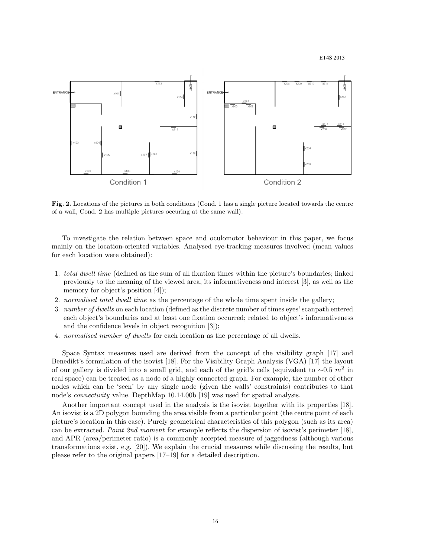

Fig. 2. Locations of the pictures in both conditions (Cond. 1 has a single picture located towards the centre of a wall, Cond. 2 has multiple pictures occuring at the same wall).

To investigate the relation between space and oculomotor behaviour in this paper, we focus mainly on the location-oriented variables. Analysed eye-tracking measures involved (mean values for each location were obtained):

- 1. total dwell time (defined as the sum of all fixation times within the picture's boundaries; linked previously to the meaning of the viewed area, its informativeness and interest [3], as well as the memory for object's position [4]);
- 2. normalised total dwell time as the percentage of the whole time spent inside the gallery;
- 3. number of dwells on each location (defined as the discrete number of times eyes' scanpath entered each object's boundaries and at least one fixation occurred; related to object's informativeness and the confidence levels in object recognition [3]);
- 4. normalised number of dwells for each location as the percentage of all dwells.

Space Syntax measures used are derived from the concept of the visibility graph [17] and Benedikt's formulation of the isovist [18]. For the Visibility Graph Analysis (VGA) [17] the layout of our gallery is divided into a small grid, and each of the grid's cells (equivalent to  $\sim 0.5$  m<sup>2</sup> in real space) can be treated as a node of a highly connected graph. For example, the number of other nodes which can be 'seen' by any single node (given the walls' constraints) contributes to that node's connectivity value. DepthMap 10.14.00b [19] was used for spatial analysis.

Another important concept used in the analysis is the isovist together with its properties [18]. An isovist is a 2D polygon bounding the area visible from a particular point (the centre point of each picture's location in this case). Purely geometrical characteristics of this polygon (such as its area) can be extracted. Point 2nd moment for example reflects the dispersion of isovist's perimeter [18], and APR (area/perimeter ratio) is a commonly accepted measure of jaggedness (although various transformations exist, e.g. [20]). We explain the crucial measures while discussing the results, but please refer to the original papers [17–19] for a detailed description.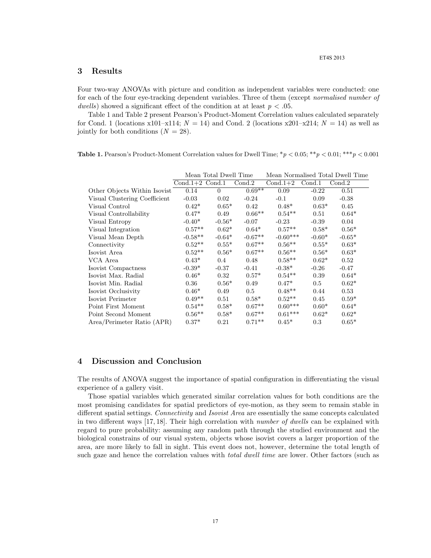### 3 Results

Four two-way ANOVAs with picture and condition as independent variables were conducted: one for each of the four eye-tracking dependent variables. Three of them (except *normalised number of* dwells) showed a significant effect of the condition at at least  $p < .05$ .

Table 1 and Table 2 present Pearson's Product-Moment Correlation values calculated separately for Cond. 1 (locations  $x101-x114$ ;  $N = 14$ ) and Cond. 2 (locations  $x201-x214$ ;  $N = 14$ ) as well as jointly for both conditions  $(N = 28)$ .

| <b>Table 1.</b> Pearson's Product-Moment Correlation values for Dwell Time; $^*p < 0.05$ ; $^{**}p < 0.01$ ; $^{**}p < 0.001$ |  |  |  |
|-------------------------------------------------------------------------------------------------------------------------------|--|--|--|
|-------------------------------------------------------------------------------------------------------------------------------|--|--|--|

|                               | Mean Total Dwell Time |          |           | Mean Normalised Total Dwell Time |          |          |  |
|-------------------------------|-----------------------|----------|-----------|----------------------------------|----------|----------|--|
|                               | $Cond.1+2$ Cond.1     |          | Cond.2    | $Cond.1+2$                       | Cond.1   | Cond.2   |  |
| Other Objects Within Isovist  | 0.14                  | $\Omega$ | $0.69**$  | 0.09                             | $-0.22$  | 0.51     |  |
| Visual Clustering Coefficient | $-0.03$               | 0.02     | $-0.24$   | $-0.1$                           | 0.09     | $-0.38$  |  |
| Visual Control                | $0.42*$               | $0.65*$  | 0.42      | $0.48*$                          | $0.63*$  | 0.45     |  |
| Visual Controllability        | $0.47*$               | 0.49     | $0.66**$  | $0.54***$                        | 0.51     | $0.64*$  |  |
| Visual Entropy                | $-0.40*$              | $-0.56*$ | $-0.07$   | $-0.23$                          | $-0.39$  | 0.04     |  |
| Visual Integration            | $0.57**$              | $0.62*$  | $0.64*$   | $0.57**$                         | $0.58*$  | $0.56*$  |  |
| Visual Mean Depth             | $-0.58**$             | $-0.64*$ | $-0.67**$ | $-0.60***$                       | $-0.60*$ | $-0.65*$ |  |
| Connectivity                  | $0.52**$              | $0.55*$  | $0.67**$  | $0.56***$                        | $0.55*$  | $0.63*$  |  |
| Isovist Area                  | $0.52**$              | $0.56*$  | $0.67**$  | $0.56**$                         | $0.56*$  | $0.63*$  |  |
| VCA Area                      | $0.43*$               | 0.4      | 0.48      | $0.58**$                         | $0.62*$  | 0.52     |  |
| Isovist Compactness           | $-0.39*$              | $-0.37$  | $-0.41$   | $-0.38*$                         | $-0.26$  | $-0.47$  |  |
| Isovist Max. Radial           | $0.46*$               | 0.32     | $0.57*$   | $0.54***$                        | 0.39     | $0.64*$  |  |
| Isovist Min. Radial           | 0.36                  | $0.56*$  | 0.49      | $0.47*$                          | 0.5      | $0.62*$  |  |
| Isovist Occlusivity           | $0.46*$               | 0.49     | 0.5       | $0.48**$                         | 0.44     | 0.53     |  |
| Isovist Perimeter             | $0.49**$              | 0.51     | $0.58*$   | $0.52**$                         | 0.45     | $0.59*$  |  |
| Point First Moment            | $0.54***$             | $0.58*$  | $0.67**$  | $0.60***$                        | $0.60*$  | $0.64*$  |  |
| Point Second Moment           | $0.56**$              | $0.58*$  | $0.67**$  | $0.61***$                        | $0.62*$  | $0.62*$  |  |
| Area/Perimeter Ratio (APR)    | $0.37*$               | 0.21     | $0.71**$  | $0.45*$                          | 0.3      | $0.65*$  |  |

## 4 Discussion and Conclusion

The results of ANOVA suggest the importance of spatial configuration in differentiating the visual experience of a gallery visit.

Those spatial variables which generated similar correlation values for both conditions are the most promising candidates for spatial predictors of eye-motion, as they seem to remain stable in different spatial settings. Connectivity and Isovist Area are essentially the same concepts calculated in two different ways [17, 18]. Their high correlation with number of dwells can be explained with regard to pure probability: assuming any random path through the studied environment and the biological constrains of our visual system, objects whose isovist covers a larger proportion of the area, are more likely to fall in sight. This event does not, however, determine the total length of such gaze and hence the correlation values with *total dwell time* are lower. Other factors (such as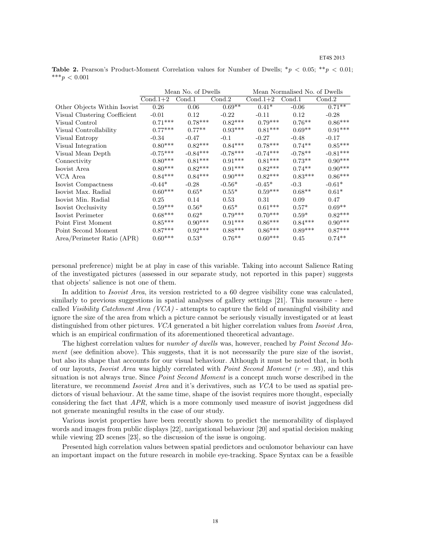**Table 2.** Pearson's Product-Moment Correlation values for Number of Dwells;  $\binom{*}{p}$  < 0.05;  $\binom{*}{p}$  < 0.01; \*\*\* $p < 0.001$ 

|                               | Mean No. of Dwells |            |            | Mean Normalised No. of Dwells |           |            |  |
|-------------------------------|--------------------|------------|------------|-------------------------------|-----------|------------|--|
|                               | $Cond.1+2$         | Cond.1     | Cond.2     | $Cond.1+2$                    | Cond.1    | Cond.2     |  |
| Other Objects Within Isovist  | 0.26               | 0.06       | $0.69**$   | $0.41*$                       | $-0.06$   | $0.71***$  |  |
| Visual Clustering Coefficient | $-0.01$            | 0.12       | $-0.22$    | $-0.11$                       | 0.12      | $-0.28$    |  |
| Visual Control                | $0.71***$          | $0.78***$  | $0.82***$  | $0.79***$                     | $0.76***$ | $0.86***$  |  |
| Visual Controllability        | $0.77***$          | $0.77**$   | $0.93***$  | $0.81***$                     | $0.69**$  | $0.91***$  |  |
| Visual Entropy                | $-0.34$            | $-0.47$    | $-0.1$     | $-0.27$                       | $-0.48$   | $-0.17$    |  |
| Visual Integration            | $0.80***$          | $0.82***$  | $0.84***$  | $0.78***$                     | $0.74**$  | $0.85***$  |  |
| Visual Mean Depth             | $-0.75***$         | $-0.84***$ | $-0.78***$ | $-0.74***$                    | $-0.78**$ | $-0.81***$ |  |
| Connectivity                  | $0.80***$          | $0.81***$  | $0.91***$  | $0.81***$                     | $0.73**$  | $0.90***$  |  |
| Isovist Area                  | $0.80***$          | $0.82***$  | $0.91***$  | $0.82***$                     | $0.74**$  | $0.90***$  |  |
| VCA Area                      | $0.84***$          | $0.84***$  | $0.90***$  | $0.82***$                     | $0.83***$ | $0.86***$  |  |
| Isovist Compactness           | $-0.44*$           | $-0.28$    | $-0.56*$   | $-0.45*$                      | $-0.3$    | $-0.61*$   |  |
| Isovist Max. Radial           | $0.60***$          | $0.65*$    | $0.55*$    | $0.59***$                     | $0.68**$  | $0.61*$    |  |
| Isovist Min. Radial           | 0.25               | 0.14       | 0.53       | 0.31                          | 0.09      | 0.47       |  |
| Isovist Occlusivity           | $0.59***$          | $0.56*$    | $0.65*$    | $0.61***$                     | $0.57*$   | $0.69**$   |  |
| Isovist Perimeter             | $0.68***$          | $0.62*$    | $0.79***$  | $0.70***$                     | $0.59*$   | $0.82***$  |  |
| Point First Moment            | $0.85***$          | $0.90***$  | $0.91***$  | $0.86***$                     | $0.84***$ | $0.90***$  |  |
| Point Second Moment           | $0.87***$          | $0.92***$  | $0.88***$  | $0.86***$                     | $0.89***$ | $0.87***$  |  |
| Area/Perimeter Ratio (APR)    | $0.60***$          | $0.53*$    | $0.76***$  | $0.60***$                     | 0.45      | $0.74**$   |  |

personal preference) might be at play in case of this variable. Taking into account Salience Rating of the investigated pictures (assessed in our separate study, not reported in this paper) suggests that objects' salience is not one of them.

In addition to *Isovist Area*, its version restricted to a 60 degree visibility cone was calculated, similarly to previous suggestions in spatial analyses of gallery settings [21]. This measure - here called Visibility Catchment Area (VCA) - attempts to capture the field of meaningful visibility and ignore the size of the area from which a picture cannot be seriously visually investigated or at least distinguished from other pictures. VCA generated a bit higher correlation values from Isovist Area, which is an empirical confirmation of its aforementioned theoretical advantage.

The highest correlation values for *number of dwells* was, however, reached by *Point Second Mo*ment (see definition above). This suggests, that it is not necessarily the pure size of the isovist, but also its shape that accounts for our visual behaviour. Although it must be noted that, in both of our layouts, *Isovist Area* was highly correlated with *Point Second Moment*  $(r = .93)$ , and this situation is not always true. Since *Point Second Moment* is a concept much worse described in the literature, we recommend *Isovist Area* and it's derivatives, such as *VCA* to be used as spatial predictors of visual behaviour. At the same time, shape of the isovist requires more thought, especially considering the fact that  $APR$ , which is a more commonly used measure of isovist jaggedness did not generate meaningful results in the case of our study.

Various isovist properties have been recently shown to predict the memorability of displayed words and images from public displays [22], navigational behaviour [20] and spatial decision making while viewing 2D scenes [23], so the discussion of the issue is ongoing.

Presented high correlation values between spatial predictors and oculomotor behaviour can have an important impact on the future research in mobile eye-tracking. Space Syntax can be a feasible